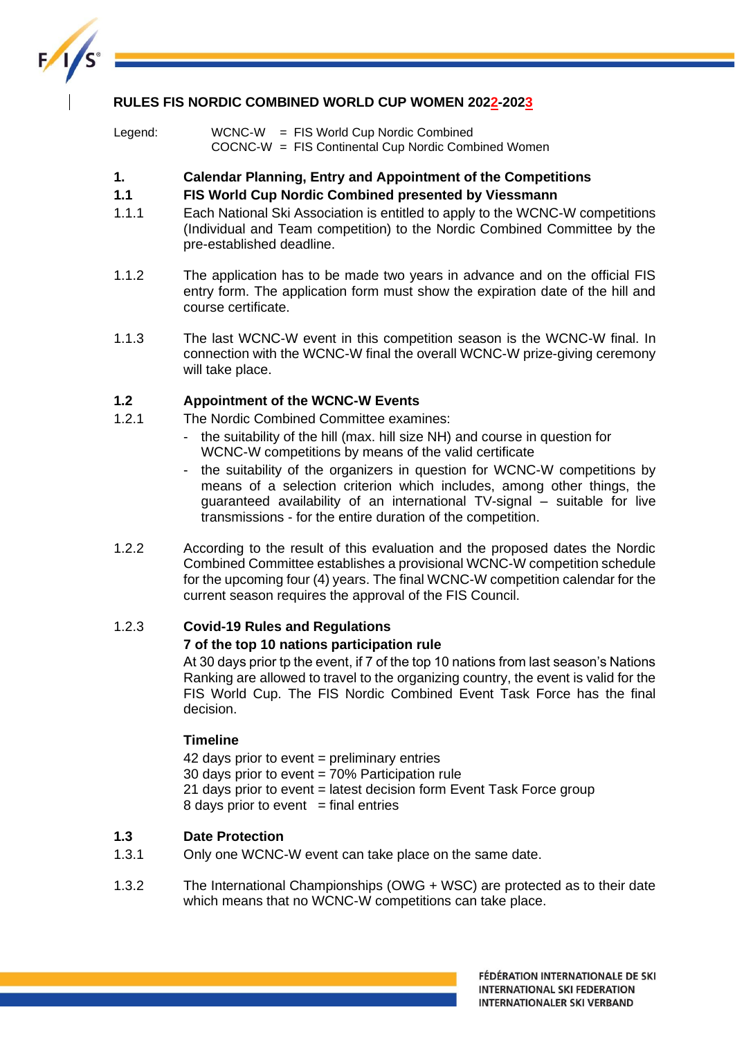

## **RULES FIS NORDIC COMBINED WORLD CUP WOMEN 2022-2023**

Legend: WCNC-W = FIS World Cup Nordic Combined COCNC-W = FIS Continental Cup Nordic Combined Women

## **1. Calendar Planning, Entry and Appointment of the Competitions**

## **1.1 FIS World Cup Nordic Combined presented by Viessmann**

- 1.1.1 Each National Ski Association is entitled to apply to the WCNC-W competitions (Individual and Team competition) to the Nordic Combined Committee by the pre-established deadline.
- 1.1.2 The application has to be made two years in advance and on the official FIS entry form. The application form must show the expiration date of the hill and course certificate.
- 1.1.3 The last WCNC-W event in this competition season is the WCNC-W final. In connection with the WCNC-W final the overall WCNC-W prize-giving ceremony will take place.

# **1.2 Appointment of the WCNC-W Events**

- 1.2.1 The Nordic Combined Committee examines:
	- the suitability of the hill (max. hill size NH) and course in question for WCNC-W competitions by means of the valid certificate
	- the suitability of the organizers in question for WCNC-W competitions by means of a selection criterion which includes, among other things, the guaranteed availability of an international TV-signal – suitable for live transmissions - for the entire duration of the competition.
- 1.2.2 According to the result of this evaluation and the proposed dates the Nordic Combined Committee establishes a provisional WCNC-W competition schedule for the upcoming four (4) years. The final WCNC-W competition calendar for the current season requires the approval of the FIS Council.

# 1.2.3 **Covid-19 Rules and Regulations**

### **7 of the top 10 nations participation rule**

At 30 days prior tp the event, if 7 of the top 10 nations from last season's Nations Ranking are allowed to travel to the organizing country, the event is valid for the FIS World Cup. The FIS Nordic Combined Event Task Force has the final decision.

### **Timeline**

42 days prior to event = preliminary entries 30 days prior to event = 70% Participation rule 21 days prior to event = latest decision form Event Task Force group 8 days prior to event  $=$  final entries

### **1.3 Date Protection**

- 1.3.1 Only one WCNC-W event can take place on the same date.
- 1.3.2 The International Championships (OWG + WSC) are protected as to their date which means that no WCNC-W competitions can take place.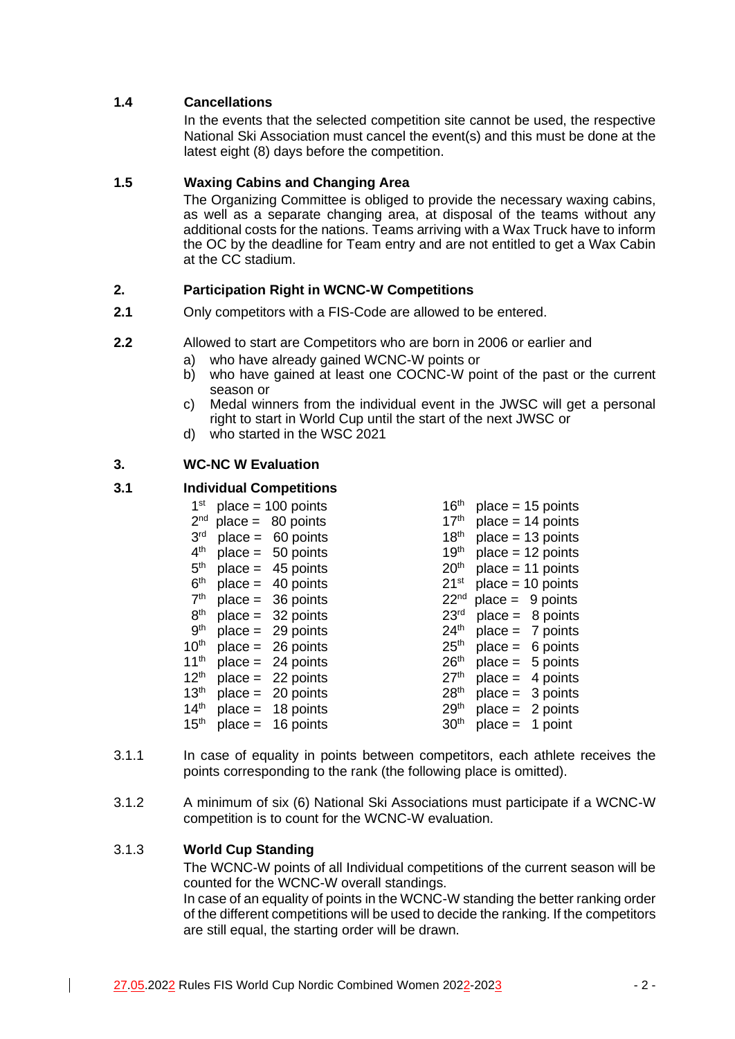# **1.4 Cancellations**

In the events that the selected competition site cannot be used, the respective National Ski Association must cancel the event(s) and this must be done at the latest eight (8) days before the competition.

# **1.5 Waxing Cabins and Changing Area**

The Organizing Committee is obliged to provide the necessary waxing cabins, as well as a separate changing area, at disposal of the teams without any additional costs for the nations. Teams arriving with a Wax Truck have to inform the OC by the deadline for Team entry and are not entitled to get a Wax Cabin at the CC stadium.

# **2. Participation Right in WCNC-W Competitions**

- **2.1** Only competitors with a FIS-Code are allowed to be entered.
- **2.2** Allowed to start are Competitors who are born in 2006 or earlier and
	- who have already gained WCNC-W points or
	- b) who have gained at least one COCNC-W point of the past or the current season or
	- c) Medal winners from the individual event in the JWSC will get a personal right to start in World Cup until the start of the next JWSC or
	- d) who started in the WSC 2021

# **3. WC-NC W Evaluation**

## **3.1 Individual Competitions**

| 1 <sup>st</sup>  |           | $place = 100 points$ | 16 <sup>th</sup> |           | $place = 15 points$ |
|------------------|-----------|----------------------|------------------|-----------|---------------------|
| 2 <sub>nd</sub>  |           | $place = 80 points$  | 17 <sup>th</sup> |           | $place = 14 points$ |
| 3 <sup>rd</sup>  |           | $place = 60 points$  | 18 <sup>th</sup> |           | $place = 13 points$ |
| 4 <sup>th</sup>  |           | $place = 50 points$  | 19 <sup>th</sup> |           | $place = 12 points$ |
| 5 <sup>th</sup>  |           | $place = 45 points$  | 20 <sup>th</sup> |           | $place = 11 points$ |
| 6 <sup>th</sup>  |           | $place = 40 points$  | 21 <sup>st</sup> |           | $place = 10 points$ |
| 7 <sup>th</sup>  |           | $place = 36 points$  | 22 <sup>nd</sup> |           | $place = 9 points$  |
| 8 <sup>th</sup>  |           | $place = 32 points$  | 23 <sup>rd</sup> |           | $place = 8 points$  |
| 9 <sup>th</sup>  |           | $place = 29 points$  | 24 <sup>th</sup> |           | $place = 7 points$  |
| 10 <sup>th</sup> |           | $place = 26 points$  | 25 <sup>th</sup> |           | $place = 6 points$  |
| 11 <sup>th</sup> |           | $place = 24 points$  | 26 <sup>th</sup> |           | $place = 5 points$  |
| 12 <sup>th</sup> |           | $place = 22 points$  | 27 <sup>th</sup> | $place =$ | 4 points            |
| 13 <sup>th</sup> |           | $place = 20 points$  | 28 <sup>th</sup> |           | $place = 3 points$  |
| 14 <sup>th</sup> |           | $place = 18 points$  | 29 <sup>th</sup> |           | $place = 2 points$  |
| 15 <sup>th</sup> | $place =$ | 16 points            | 30 <sup>th</sup> | $place =$ | 1 point             |
|                  |           |                      |                  |           |                     |

- 3.1.1 In case of equality in points between competitors, each athlete receives the points corresponding to the rank (the following place is omitted).
- 3.1.2 A minimum of six (6) National Ski Associations must participate if a WCNC-W competition is to count for the WCNC-W evaluation.

### 3.1.3 **World Cup Standing**

The WCNC-W points of all Individual competitions of the current season will be counted for the WCNC-W overall standings.

In case of an equality of points in the WCNC-W standing the better ranking order of the different competitions will be used to decide the ranking. If the competitors are still equal, the starting order will be drawn.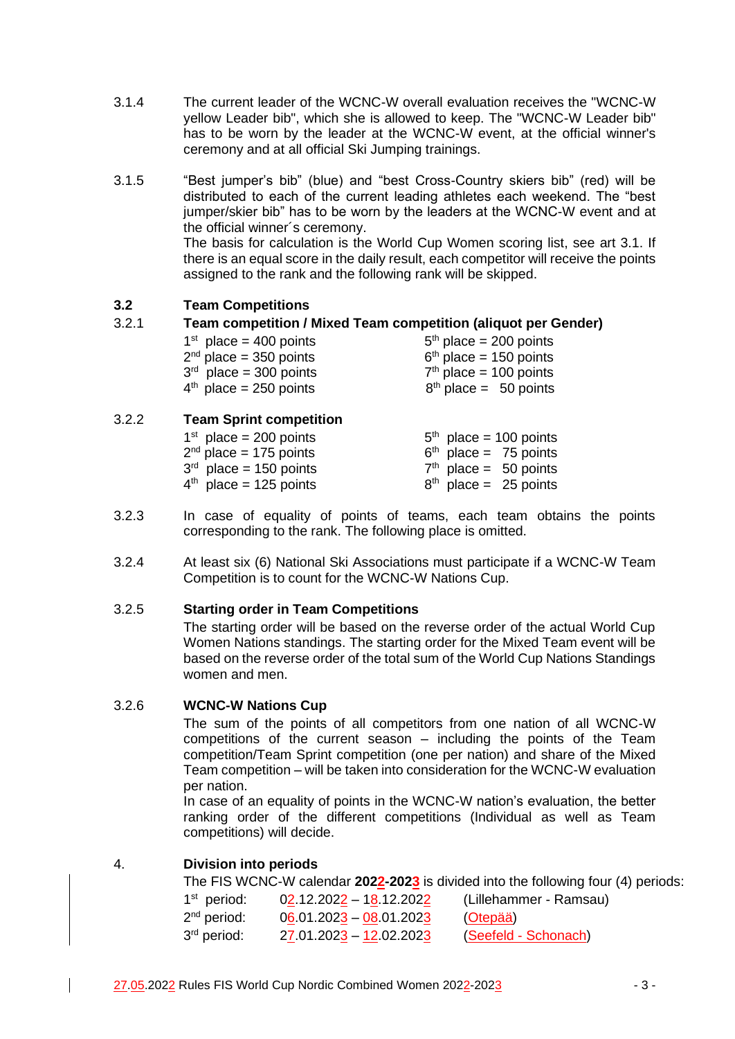- 3.1.4 The current leader of the WCNC-W overall evaluation receives the "WCNC-W yellow Leader bib", which she is allowed to keep. The "WCNC-W Leader bib" has to be worn by the leader at the WCNC-W event, at the official winner's ceremony and at all official Ski Jumping trainings.
- 3.1.5 "Best jumper's bib" (blue) and "best Cross-Country skiers bib" (red) will be distributed to each of the current leading athletes each weekend. The "best jumper/skier bib" has to be worn by the leaders at the WCNC-W event and at the official winner´s ceremony. The basis for calculation is the World Cup Women scoring list, see art 3.1. If there is an equal score in the daily result, each competitor will receive the points assigned to the rank and the following rank will be skipped.

# **3.2 Team Competitions**

### 3.2.1 **Team competition / Mixed Team competition (aliquot per Gender)**

| $1st$ place = 400 points | $5th$ place = 200 points |
|--------------------------|--------------------------|
| $2nd$ place = 350 points | $6th$ place = 150 points |
| $3rd$ place = 300 points | $7th$ place = 100 points |
| $4th$ place = 250 points | $8th$ place = 50 points  |
|                          |                          |

### 3.2.2 **Team Sprint competition**

| $5th$ place = 100 points |
|--------------------------|
| $6th$ place = 75 points  |
| $7th$ place = 50 points  |
| $8th$ place = 25 points  |
|                          |

- 3.2.3 In case of equality of points of teams, each team obtains the points corresponding to the rank. The following place is omitted.
- 3.2.4 At least six (6) National Ski Associations must participate if a WCNC-W Team Competition is to count for the WCNC-W Nations Cup.

### 3.2.5 **Starting order in Team Competitions**

The starting order will be based on the reverse order of the actual World Cup Women Nations standings. The starting order for the Mixed Team event will be based on the reverse order of the total sum of the World Cup Nations Standings women and men.

### 3.2.6 **WCNC-W Nations Cup**

The sum of the points of all competitors from one nation of all WCNC-W competitions of the current season – including the points of the Team competition/Team Sprint competition (one per nation) and share of the Mixed Team competition – will be taken into consideration for the WCNC-W evaluation per nation.

In case of an equality of points in the WCNC-W nation's evaluation, the better ranking order of the different competitions (Individual as well as Team competitions) will decide.

### 4. **Division into periods**

The FIS WCNC-W calendar **2022-2023** is divided into the following four (4) periods:

| $1st$ period: | $02.12.2022 - 18.12.2022$ | (Lillehammer - Ramsau) |
|---------------|---------------------------|------------------------|
| $2nd$ period: | $06.01.2023 - 08.01.2023$ | (Otepää)               |
| $3rd$ period: | $27.01.2023 - 12.02.2023$ | (Seefeld - Schonach)   |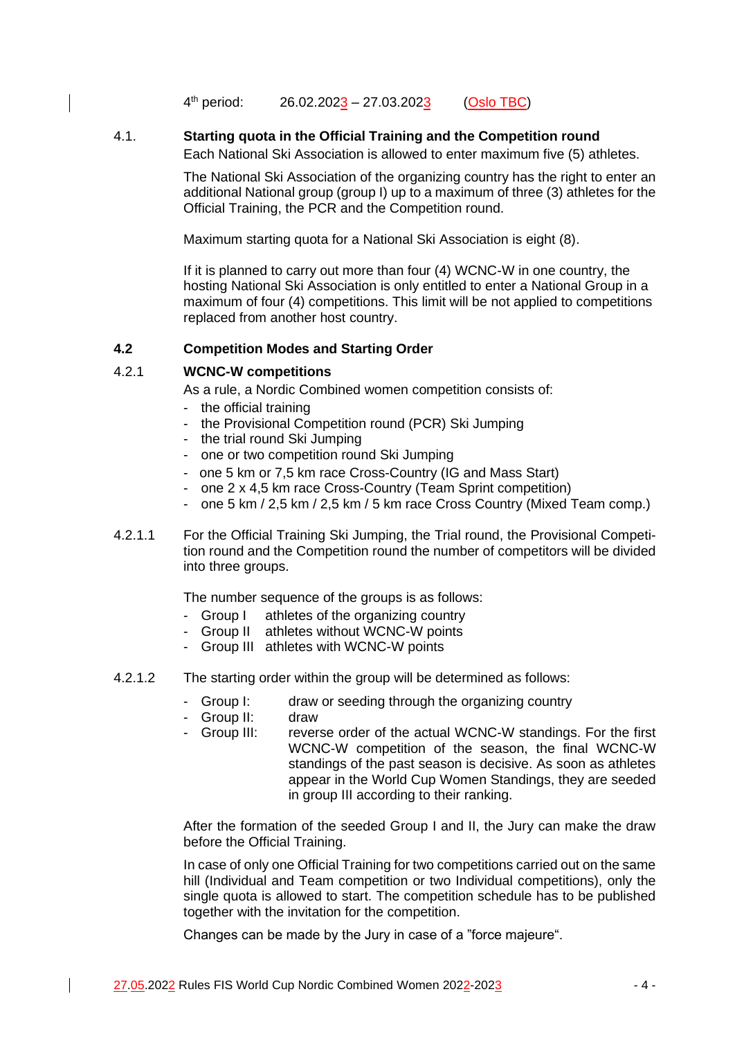4<sup>th</sup> period: th period: 26.02.2023 – 27.03.2023 (Oslo TBC)

# 4.1. **Starting quota in the Official Training and the Competition round**

Each National Ski Association is allowed to enter maximum five (5) athletes.

The National Ski Association of the organizing country has the right to enter an additional National group (group I) up to a maximum of three (3) athletes for the Official Training, the PCR and the Competition round.

Maximum starting quota for a National Ski Association is eight (8).

If it is planned to carry out more than four (4) WCNC-W in one country, the hosting National Ski Association is only entitled to enter a National Group in a maximum of four (4) competitions. This limit will be not applied to competitions replaced from another host country.

### **4.2 Competition Modes and Starting Order**

## 4.2.1 **WCNC-W competitions**

As a rule, a Nordic Combined women competition consists of:

- the official training
- the Provisional Competition round (PCR) Ski Jumping
- the trial round Ski Jumping
- one or two competition round Ski Jumping
- one 5 km or 7,5 km race Cross-Country (IG and Mass Start)
- one 2 x 4,5 km race Cross-Country (Team Sprint competition)
- one 5 km / 2,5 km / 2,5 km / 5 km race Cross Country (Mixed Team comp.)
- 4.2.1.1 For the Official Training Ski Jumping, the Trial round, the Provisional Competition round and the Competition round the number of competitors will be divided into three groups.

The number sequence of the groups is as follows:

- Group I athletes of the organizing country
- Group II athletes without WCNC-W points
- Group III athletes with WCNC-W points
- 4.2.1.2 The starting order within the group will be determined as follows:
	- Group I: draw or seeding through the organizing country
	- Group II: draw
	- Group III: reverse order of the actual WCNC-W standings. For the first WCNC-W competition of the season, the final WCNC-W standings of the past season is decisive. As soon as athletes appear in the World Cup Women Standings, they are seeded in group III according to their ranking.

After the formation of the seeded Group I and II, the Jury can make the draw before the Official Training.

In case of only one Official Training for two competitions carried out on the same hill (Individual and Team competition or two Individual competitions), only the single quota is allowed to start. The competition schedule has to be published together with the invitation for the competition.

Changes can be made by the Jury in case of a "force majeure".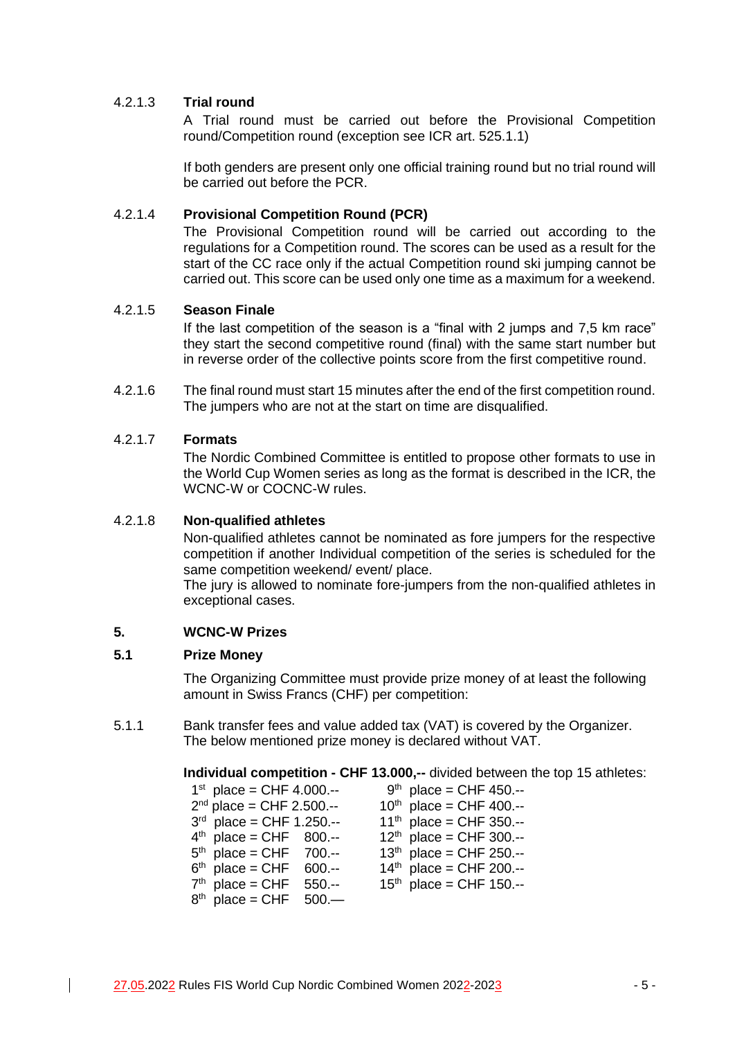## 4.2.1.3 **Trial round**

A Trial round must be carried out before the Provisional Competition round/Competition round (exception see ICR art. 525.1.1)

If both genders are present only one official training round but no trial round will be carried out before the PCR.

### 4.2.1.4 **Provisional Competition Round (PCR)**

The Provisional Competition round will be carried out according to the regulations for a Competition round. The scores can be used as a result for the start of the CC race only if the actual Competition round ski jumping cannot be carried out. This score can be used only one time as a maximum for a weekend.

### 4.2.1.5 **Season Finale**

If the last competition of the season is a "final with 2 jumps and 7,5 km race" they start the second competitive round (final) with the same start number but in reverse order of the collective points score from the first competitive round.

4.2.1.6 The final round must start 15 minutes after the end of the first competition round. The jumpers who are not at the start on time are disqualified.

#### 4.2.1.7 **Formats**

The Nordic Combined Committee is entitled to propose other formats to use in the World Cup Women series as long as the format is described in the ICR, the WCNC-W or COCNC-W rules.

#### 4.2.1.8 **Non-qualified athletes**

Non-qualified athletes cannot be nominated as fore jumpers for the respective competition if another Individual competition of the series is scheduled for the same competition weekend/ event/ place.

The jury is allowed to nominate fore-jumpers from the non-qualified athletes in exceptional cases.

#### **5. WCNC-W Prizes**

#### **5.1 Prize Money**

The Organizing Committee must provide prize money of at least the following amount in Swiss Francs (CHF) per competition:

5.1.1 Bank transfer fees and value added tax (VAT) is covered by the Organizer. The below mentioned prize money is declared without VAT.

#### **Individual competition - CHF 13.000,--** divided between the top 15 athletes:

| $1^{st}$ place = CHF 4.000.-- | $9th$ place = CHF 450.--     |
|-------------------------------|------------------------------|
| $2^{nd}$ place = CHF 2.500.-- | $10^{th}$ place = CHF 400.-- |
| $3^{rd}$ place = CHF 1.250.-- | $11^{th}$ place = CHF 350.-- |
| $4th$ place = CHF 800.--      | $12^{th}$ place = CHF 300.-- |
| $5th$ place = CHF 700.--      | $13^{th}$ place = CHF 250.-- |
| $6th$ place = CHF 600.--      | $14^{th}$ place = CHF 200.-- |
| $7th$ place = CHF 550.--      | $15th$ place = CHF 150.--    |
| $8th$ place = CHF 500.—       |                              |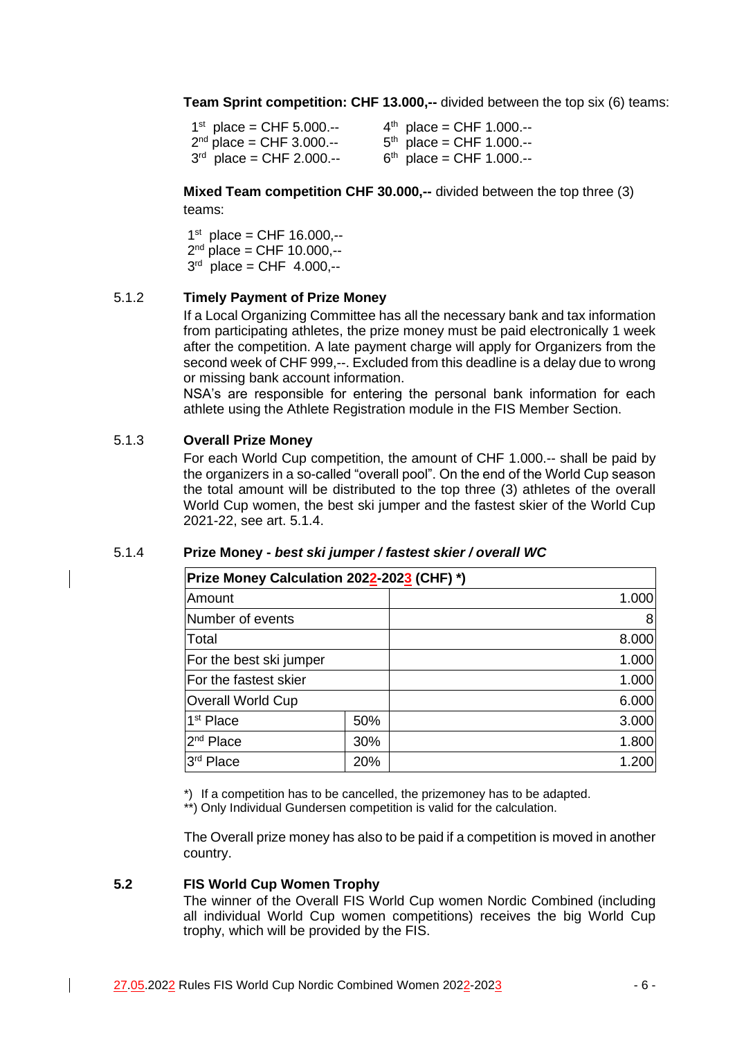**Team Sprint competition: CHF 13.000,--** divided between the top six (6) teams:

| $1^{st}$ place = CHF 5.000.-- | $4th$ place = CHF 1.000.-- |
|-------------------------------|----------------------------|
| $2^{nd}$ place = CHF 3.000.-- | $5th$ place = CHF 1.000.-- |
| $3^{rd}$ place = CHF 2.000.-- | $6th$ place = CHF 1.000.-- |

**Mixed Team competition CHF 30.000,--** divided between the top three (3) teams:

1 st place = CHF 16.000,-- 2<sup>nd</sup> place = CHF 10.000,-- $3^{rd}$  place = CHF 4.000,--

### 5.1.2 **Timely Payment of Prize Money**

If a Local Organizing Committee has all the necessary bank and tax information from participating athletes, the prize money must be paid electronically 1 week after the competition. A late payment charge will apply for Organizers from the second week of CHF 999,--. Excluded from this deadline is a delay due to wrong or missing bank account information.

NSA's are responsible for entering the personal bank information for each athlete using the Athlete Registration module in the FIS Member Section.

### 5.1.3 **Overall Prize Money**

For each World Cup competition, the amount of CHF 1.000.-- shall be paid by the organizers in a so-called "overall pool". On the end of the World Cup season the total amount will be distributed to the top three (3) athletes of the overall World Cup women, the best ski jumper and the fastest skier of the World Cup 2021-22, see art. 5.1.4.

| Prize Money Calculation 2022-2023 (CHF) *) |     |       |  |
|--------------------------------------------|-----|-------|--|
| Amount                                     |     | 1.000 |  |
| Number of events                           |     | 8     |  |
| Total                                      |     | 8.000 |  |
| For the best ski jumper                    |     | 1.000 |  |
| For the fastest skier                      |     | 1.000 |  |
| <b>Overall World Cup</b>                   |     | 6.000 |  |
| 1 <sup>st</sup> Place                      | 50% | 3.000 |  |
| 2 <sup>nd</sup> Place                      | 30% | 1.800 |  |
| 3 <sup>rd</sup><br>Place                   | 20% | 1.200 |  |

#### 5.1.4 **Prize Money -** *best ski jumper / fastest skier / overall WC*

\*) If a competition has to be cancelled, the prizemoney has to be adapted.

\*\*) Only Individual Gundersen competition is valid for the calculation.

The Overall prize money has also to be paid if a competition is moved in another country.

### **5.2 FIS World Cup Women Trophy**

The winner of the Overall FIS World Cup women Nordic Combined (including all individual World Cup women competitions) receives the big World Cup trophy, which will be provided by the FIS.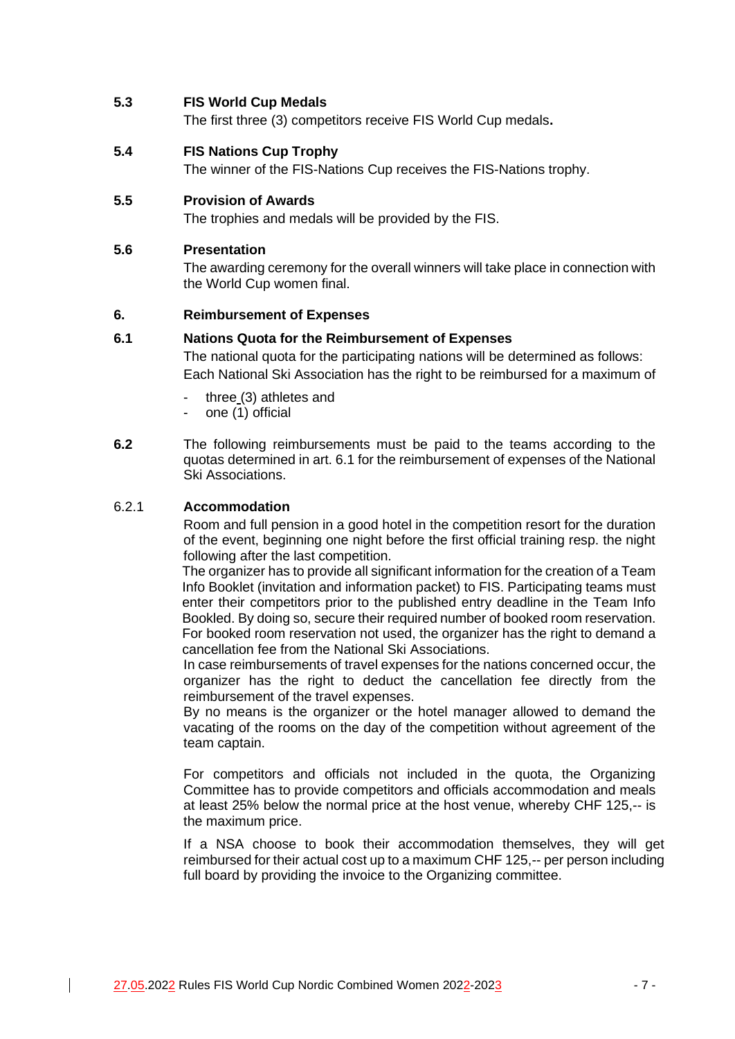### **5.3 FIS World Cup Medals**

The first three (3) competitors receive FIS World Cup medals**.**

#### **5.4 FIS Nations Cup Trophy**

The winner of the FIS-Nations Cup receives the FIS-Nations trophy.

### **5.5 Provision of Awards**

The trophies and medals will be provided by the FIS.

#### **5.6 Presentation**

The awarding ceremony for the overall winners will take place in connection with the World Cup women final.

#### **6. Reimbursement of Expenses**

#### **6.1 Nations Quota for the Reimbursement of Expenses**

The national quota for the participating nations will be determined as follows: Each National Ski Association has the right to be reimbursed for a maximum of

- three (3) athletes and
- one (1) official
- **6.2** The following reimbursements must be paid to the teams according to the quotas determined in art. 6.1 for the reimbursement of expenses of the National Ski Associations.

### 6.2.1 **Accommodation**

Room and full pension in a good hotel in the competition resort for the duration of the event, beginning one night before the first official training resp. the night following after the last competition.

The organizer has to provide all significant information for the creation of a Team Info Booklet (invitation and information packet) to FIS. Participating teams must enter their competitors prior to the published entry deadline in the Team Info Bookled. By doing so, secure their required number of booked room reservation. For booked room reservation not used, the organizer has the right to demand a cancellation fee from the National Ski Associations.

In case reimbursements of travel expenses for the nations concerned occur, the organizer has the right to deduct the cancellation fee directly from the reimbursement of the travel expenses.

By no means is the organizer or the hotel manager allowed to demand the vacating of the rooms on the day of the competition without agreement of the team captain.

For competitors and officials not included in the quota, the Organizing Committee has to provide competitors and officials accommodation and meals at least 25% below the normal price at the host venue, whereby CHF 125,-- is the maximum price.

If a NSA choose to book their accommodation themselves, they will get reimbursed for their actual cost up to a maximum CHF 125,-- per person including full board by providing the invoice to the Organizing committee.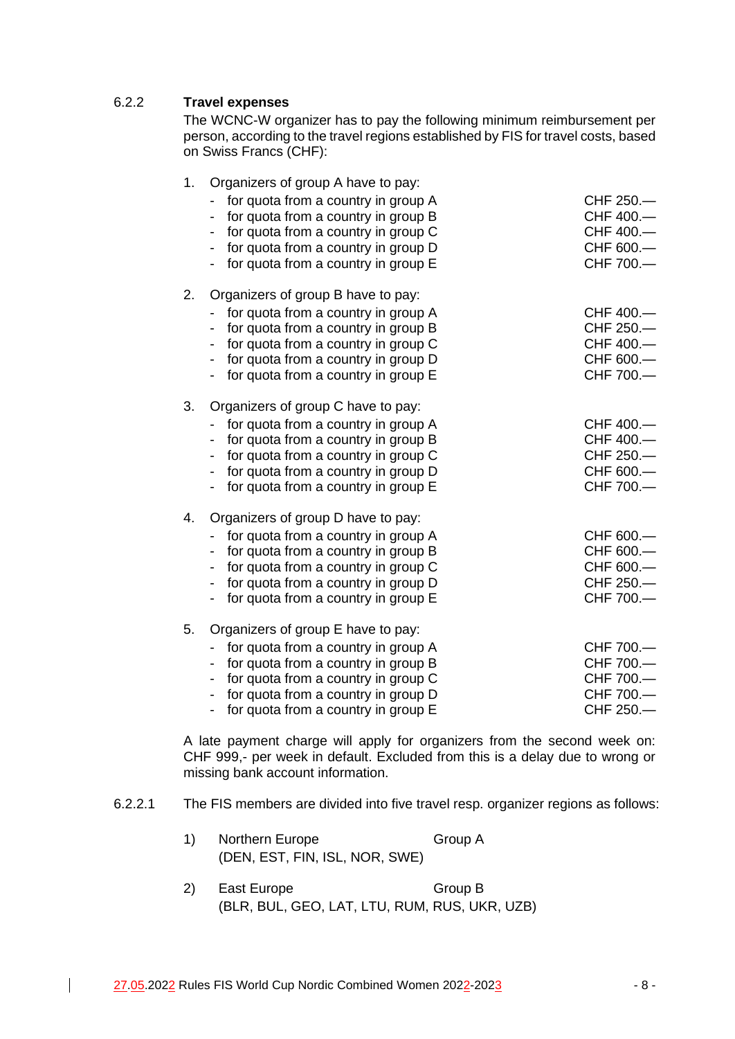# 6.2.2 **Travel expenses**

The WCNC-W organizer has to pay the following minimum reimbursement per person, according to the travel regions established by FIS for travel costs, based on Swiss Francs (CHF):

| 1. | Organizers of group A have to pay:<br>for quota from a country in group A<br>for quota from a country in group B<br>$\qquad \qquad \blacksquare$<br>for quota from a country in group C<br>for quota from a country in group D<br>for quota from a country in group E<br>$\overline{\phantom{0}}$                                                         | CHF 250.-<br>CHF 400.-<br>CHF 400.-<br>CHF 600.-<br>CHF 700.- |
|----|-----------------------------------------------------------------------------------------------------------------------------------------------------------------------------------------------------------------------------------------------------------------------------------------------------------------------------------------------------------|---------------------------------------------------------------|
| 2. | Organizers of group B have to pay:<br>for quota from a country in group A<br>for quota from a country in group B<br>$\qquad \qquad \blacksquare$<br>for quota from a country in group C<br>$\overline{\phantom{a}}$<br>for quota from a country in group D<br>$\overline{\phantom{0}}$<br>for quota from a country in group E<br>$\overline{\phantom{0}}$ | CHF 400.-<br>CHF 250.-<br>CHF 400.-<br>CHF 600.-<br>CHF 700.- |
| 3. | Organizers of group C have to pay:<br>for quota from a country in group A<br>$\overline{\phantom{a}}$<br>for quota from a country in group B<br>$\blacksquare$<br>for quota from a country in group C<br>for quota from a country in group D<br>for quota from a country in group E                                                                       | CHF 400.-<br>CHF 400.-<br>CHF 250.-<br>CHF 600.-<br>CHF 700.- |
| 4. | Organizers of group D have to pay:<br>for quota from a country in group A<br>for quota from a country in group B<br>for quota from a country in group C<br>$\overline{\phantom{a}}$<br>for quota from a country in group D<br>for quota from a country in group E<br>$\overline{\phantom{a}}$                                                             | CHF 600.-<br>CHF 600.-<br>CHF 600.-<br>CHF 250.-<br>CHF 700.- |
| 5. | Organizers of group E have to pay:<br>for quota from a country in group A<br>for quota from a country in group B<br>$\overline{\phantom{a}}$<br>for quota from a country in group C<br>$\overline{\phantom{a}}$<br>for quota from a country in group D<br>for quota from a country in group E                                                             | CHF 700.-<br>CHF 700.-<br>CHF 700.-<br>CHF 700.-<br>CHF 250.  |

A late payment charge will apply for organizers from the second week on: CHF 999,- per week in default. Excluded from this is a delay due to wrong or missing bank account information.

6.2.2.1 The FIS members are divided into five travel resp. organizer regions as follows:

| 1) | Northern Europe                | Group A |
|----|--------------------------------|---------|
|    | (DEN, EST, FIN, ISL, NOR, SWE) |         |

2) East Europe Group B (BLR, BUL, GEO, LAT, LTU, RUM, RUS, UKR, UZB)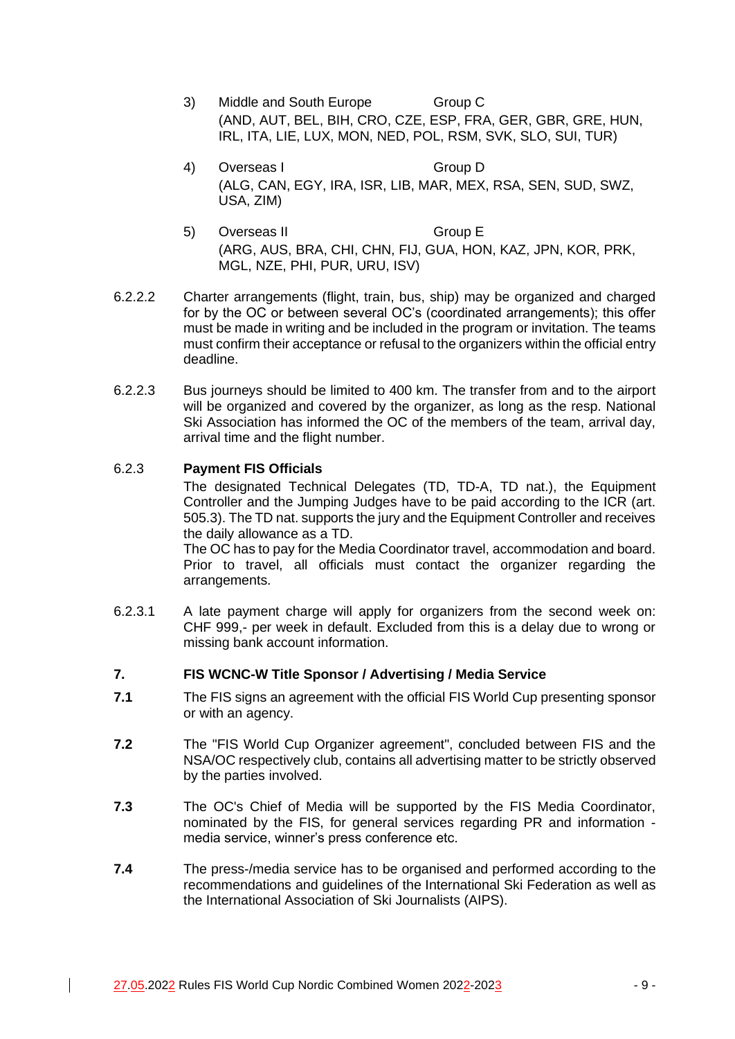- 3) Middle and South Europe Group C (AND, AUT, BEL, BIH, CRO, CZE, ESP, FRA, GER, GBR, GRE, HUN, IRL, ITA, LIE, LUX, MON, NED, POL, RSM, SVK, SLO, SUI, TUR)
- 4) Overseas I Group D (ALG, CAN, EGY, IRA, ISR, LIB, MAR, MEX, RSA, SEN, SUD, SWZ, USA, ZIM)
- 5) Overseas II Group E (ARG, AUS, BRA, CHI, CHN, FIJ, GUA, HON, KAZ, JPN, KOR, PRK, MGL, NZE, PHI, PUR, URU, ISV)
- 6.2.2.2 Charter arrangements (flight, train, bus, ship) may be organized and charged for by the OC or between several OC's (coordinated arrangements); this offer must be made in writing and be included in the program or invitation. The teams must confirm their acceptance or refusal to the organizers within the official entry deadline.
- 6.2.2.3 Bus journeys should be limited to 400 km. The transfer from and to the airport will be organized and covered by the organizer, as long as the resp. National Ski Association has informed the OC of the members of the team, arrival day, arrival time and the flight number.

# 6.2.3 **Payment FIS Officials**

The designated Technical Delegates (TD, TD-A, TD nat.), the Equipment Controller and the Jumping Judges have to be paid according to the ICR (art. 505.3). The TD nat. supports the jury and the Equipment Controller and receives the daily allowance as a TD.

The OC has to pay for the Media Coordinator travel, accommodation and board. Prior to travel, all officials must contact the organizer regarding the arrangements.

6.2.3.1 A late payment charge will apply for organizers from the second week on: CHF 999,- per week in default. Excluded from this is a delay due to wrong or missing bank account information.

### **7. FIS WCNC-W Title Sponsor / Advertising / Media Service**

- **7.1** The FIS signs an agreement with the official FIS World Cup presenting sponsor or with an agency.
- **7.2** The "FIS World Cup Organizer agreement", concluded between FIS and the NSA/OC respectively club, contains all advertising matter to be strictly observed by the parties involved.
- **7.3** The OC's Chief of Media will be supported by the FIS Media Coordinator, nominated by the FIS, for general services regarding PR and information media service, winner's press conference etc.
- **7.4** The press-/media service has to be organised and performed according to the recommendations and guidelines of the International Ski Federation as well as the International Association of Ski Journalists (AIPS).